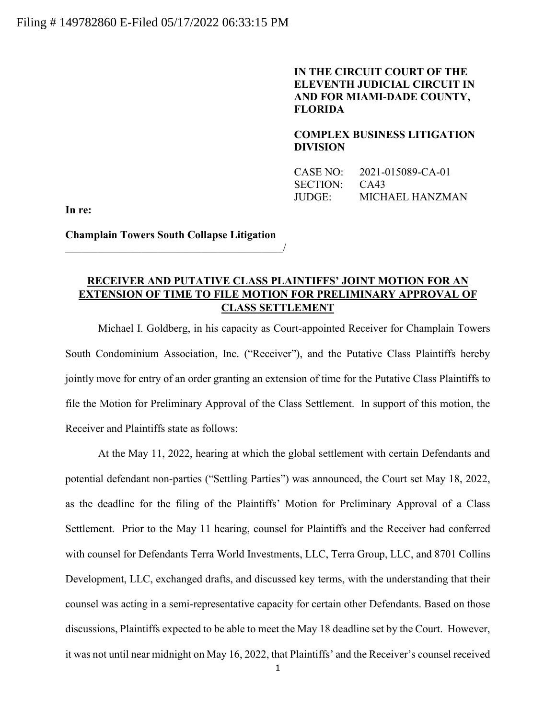## **IN THE CIRCUIT COURT OF THE ELEVENTH JUDICIAL CIRCUIT IN AND FOR MIAMI-DADE COUNTY, FLORIDA**

**COMPLEX BUSINESS LITIGATION DIVISION**

| CASE NO: | 2021-015089-CA-01 |
|----------|-------------------|
| SECTION: | CA43              |
| JUDGE:   | MICHAEL HANZMAN   |

**In re:**

**Champlain Towers South Collapse Litigation**  $\overline{\phantom{a}}$ 

## **RECEIVER AND PUTATIVE CLASS PLAINTIFFS' JOINT MOTION FOR AN EXTENSION OF TIME TO FILE MOTION FOR PRELIMINARY APPROVAL OF CLASS SETTLEMENT**

Michael I. Goldberg, in his capacity as Court-appointed Receiver for Champlain Towers South Condominium Association, Inc. ("Receiver"), and the Putative Class Plaintiffs hereby jointly move for entry of an order granting an extension of time for the Putative Class Plaintiffs to file the Motion for Preliminary Approval of the Class Settlement. In support of this motion, the Receiver and Plaintiffs state as follows:

At the May 11, 2022, hearing at which the global settlement with certain Defendants and potential defendant non-parties ("Settling Parties") was announced, the Court set May 18, 2022, as the deadline for the filing of the Plaintiffs' Motion for Preliminary Approval of a Class Settlement. Prior to the May 11 hearing, counsel for Plaintiffs and the Receiver had conferred with counsel for Defendants Terra World Investments, LLC, Terra Group, LLC, and 8701 Collins Development, LLC, exchanged drafts, and discussed key terms, with the understanding that their counsel was acting in a semi-representative capacity for certain other Defendants. Based on those discussions, Plaintiffs expected to be able to meet the May 18 deadline set by the Court. However, it was not until near midnight on May 16, 2022, that Plaintiffs' and the Receiver's counsel received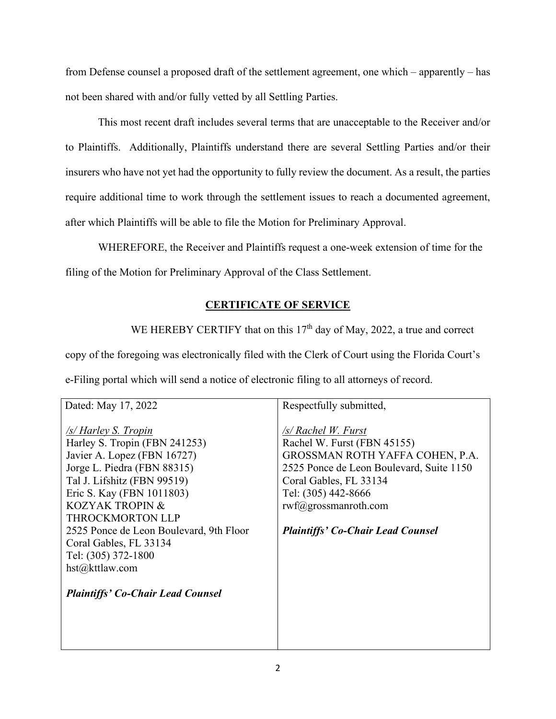from Defense counsel a proposed draft of the settlement agreement, one which – apparently – has not been shared with and/or fully vetted by all Settling Parties.

This most recent draft includes several terms that are unacceptable to the Receiver and/or to Plaintiffs. Additionally, Plaintiffs understand there are several Settling Parties and/or their insurers who have not yet had the opportunity to fully review the document. As a result, the parties require additional time to work through the settlement issues to reach a documented agreement, after which Plaintiffs will be able to file the Motion for Preliminary Approval.

WHEREFORE, the Receiver and Plaintiffs request a one-week extension of time for the filing of the Motion for Preliminary Approval of the Class Settlement.

## **CERTIFICATE OF SERVICE**

WE HEREBY CERTIFY that on this  $17<sup>th</sup>$  day of May, 2022, a true and correct

copy of the foregoing was electronically filed with the Clerk of Court using the Florida Court's e-Filing portal which will send a notice of electronic filing to all attorneys of record.

| Dated: May 17, 2022                                                                                                                                                                                                                                                                                                                                                                                      | Respectfully submitted,                                                                                                                                                                                                                                            |
|----------------------------------------------------------------------------------------------------------------------------------------------------------------------------------------------------------------------------------------------------------------------------------------------------------------------------------------------------------------------------------------------------------|--------------------------------------------------------------------------------------------------------------------------------------------------------------------------------------------------------------------------------------------------------------------|
| <u>/s/Harley S. Tropin</u><br>Harley S. Tropin (FBN 241253)<br>Javier A. Lopez (FBN 16727)<br>Jorge L. Piedra (FBN 88315)<br>Tal J. Lifshitz (FBN 99519)<br>Eric S. Kay (FBN 1011803)<br><b>KOZYAK TROPIN &amp;</b><br><b>THROCKMORTON LLP</b><br>2525 Ponce de Leon Boulevard, 9th Floor<br>Coral Gables, FL 33134<br>Tel: (305) 372-1800<br>hst@kttlaw.com<br><b>Plaintiffs' Co-Chair Lead Counsel</b> | /s/ Rachel W. Furst<br>Rachel W. Furst (FBN 45155)<br>GROSSMAN ROTH YAFFA COHEN, P.A.<br>2525 Ponce de Leon Boulevard, Suite 1150<br>Coral Gables, FL 33134<br>Tel: (305) 442-8666<br>$rwf(\partial)$ grossmanroth.com<br><b>Plaintiffs' Co-Chair Lead Counsel</b> |